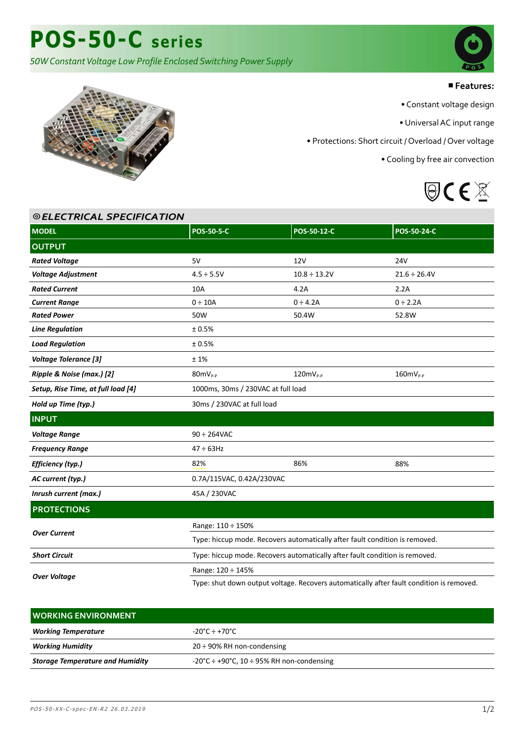# **POS-50-C series**

*50W Constant Voltage Low Profile Enclosed Switching Power Supply* 





• Constant voltage design

• Universal AC input range

• Protections: Short circuit / Overload / Over voltage

• Cooling by free air convection



### ⦾ *ELECTRICAL SPECIFICATION*

| <b>MODEL</b>                       | <b>POS-50-5-C</b>                                                                        | POS-50-12-C       | POS-50-24-C       |
|------------------------------------|------------------------------------------------------------------------------------------|-------------------|-------------------|
| <b>OUTPUT</b>                      |                                                                                          |                   |                   |
| <b>Rated Voltage</b>               | 5V                                                                                       | 12V               | <b>24V</b>        |
| <b>Voltage Adjustment</b>          | $4.5 \div 5.5V$                                                                          | $10.8 \div 13.2V$ | $21.6 \div 26.4V$ |
| <b>Rated Current</b>               | 10A                                                                                      | 4.2A              | 2.2A              |
| <b>Current Range</b>               | $0 \div 10A$                                                                             | $0 \div 4.2A$     | $0 \div 2.2A$     |
| <b>Rated Power</b>                 | 50W                                                                                      | 50.4W             | 52.8W             |
| <b>Line Regulation</b>             | ± 0.5%                                                                                   |                   |                   |
| <b>Load Regulation</b>             | ± 0.5%                                                                                   |                   |                   |
| <b>Voltage Tolerance [3]</b>       | ±1%                                                                                      |                   |                   |
| Ripple & Noise (max.) [2]          | $80mVP-P$                                                                                | $120mV_{P-P}$     | $160mVP-P$        |
| Setup, Rise Time, at full load [4] | 1000ms, 30ms / 230VAC at full load                                                       |                   |                   |
| Hold up Time (typ.)                | 30ms / 230VAC at full load                                                               |                   |                   |
| <b>INPUT</b>                       |                                                                                          |                   |                   |
| <b>Voltage Range</b>               | $90 \div 264$ VAC                                                                        |                   |                   |
| <b>Frequency Range</b>             | $47 \div 63$ Hz                                                                          |                   |                   |
| Efficiency (typ.)                  | 82%                                                                                      | 86%               | 88%               |
| AC current (typ.)                  | 0.7A/115VAC, 0.42A/230VAC                                                                |                   |                   |
| Inrush current (max.)              | 45A / 230VAC                                                                             |                   |                   |
| <b>PROTECTIONS</b>                 |                                                                                          |                   |                   |
| <b>Over Current</b>                | Range: 110 ÷ 150%                                                                        |                   |                   |
|                                    | Type: hiccup mode. Recovers automatically after fault condition is removed.              |                   |                   |
| <b>Short Circuit</b>               | Type: hiccup mode. Recovers automatically after fault condition is removed.              |                   |                   |
|                                    | Range: 120 ÷ 145%                                                                        |                   |                   |
| <b>Over Voltage</b>                | Type: shut down output voltage. Recovers automatically after fault condition is removed. |                   |                   |

| <b>I WORKING ENVIRONMENT</b>            |                                                                |  |
|-----------------------------------------|----------------------------------------------------------------|--|
| <b>Working Temperature</b>              | $-20^{\circ}$ C ÷ +70°C ·                                      |  |
| Working Humidity                        | $20 \div 90\%$ RH non-condensing                               |  |
| <b>Storage Temperature and Humidity</b> | $-20^{\circ}$ C ÷ +90 $^{\circ}$ C, 10 ÷ 95% RH non-condensing |  |